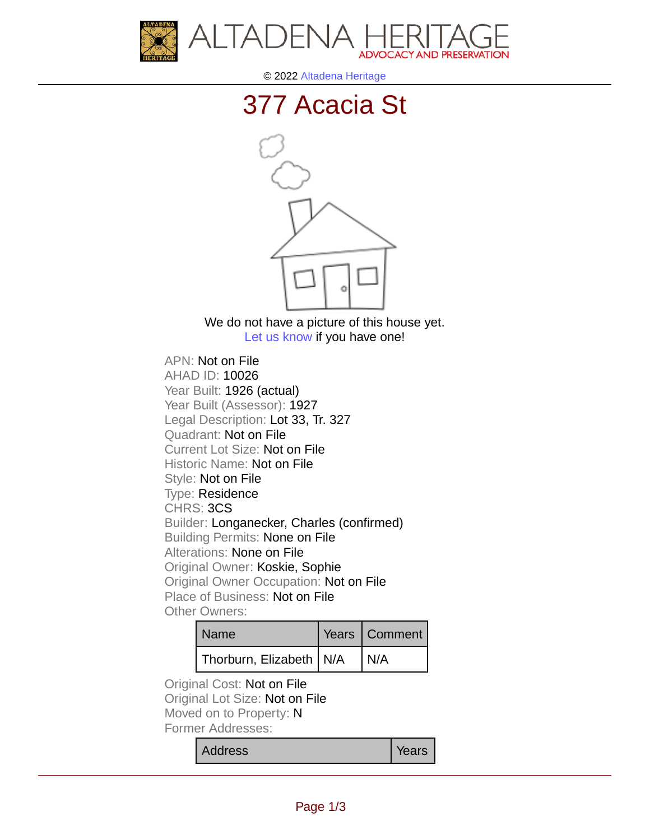



© 2022 [Altadena Heritage](http://altadenaheritage.org/)

## [377 Acacia St](ahad.altadenaheritagepdb.org/properties/10026)



We do not have a picture of this house yet. [Let us know](http://altadenaheritage.org/contact-us/) if you have one!

APN: Not on File [AHAD ID: 10026](ahad.altadenaheritagepdb.org/properties/10026) Year Built: 1926 (actual) Year Built (Assessor): 1927 Legal Description: Lot 33, Tr. 327 Quadrant: Not on File Current Lot Size: Not on File Historic Name: Not on File Style: Not on File Type: Residence CHRS: 3CS Builder: Longanecker, Charles (confirmed) Building Permits: None on File Alterations: None on File Original Owner: Koskie, Sophie Original Owner Occupation: Not on File Place of Business: Not on File Other Owners:

| Name                      | Years   Comment |
|---------------------------|-----------------|
| Thorburn, Elizabeth   N/A | N/A             |

Original Cost: Not on File Original Lot Size: Not on File Moved on to Property: N Former Addresses:

Address **Years**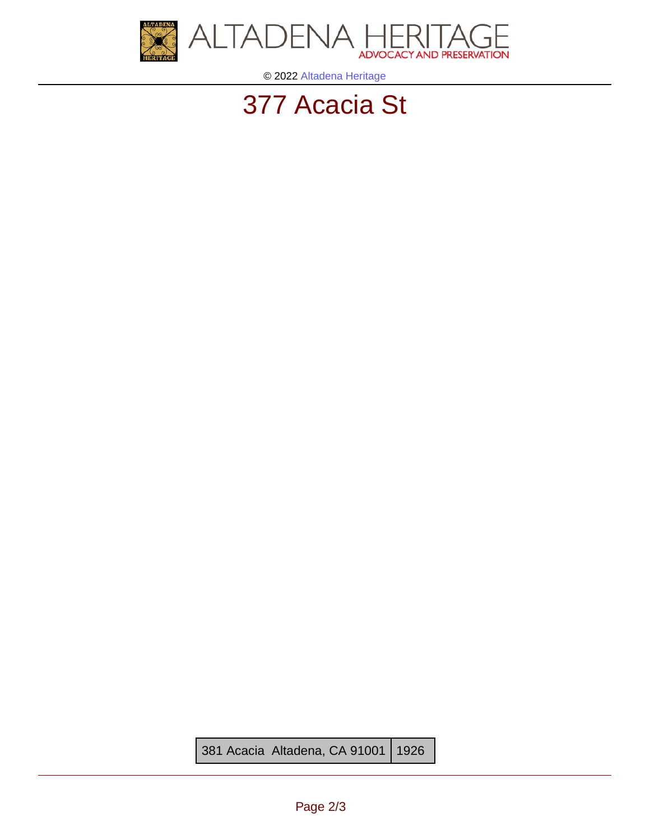

© 2022 [Altadena Heritage](http://altadenaheritage.org/)

## [377 Acacia St](ahad.altadenaheritagepdb.org/properties/10026)

381 Acacia Altadena, CA 91001 1926